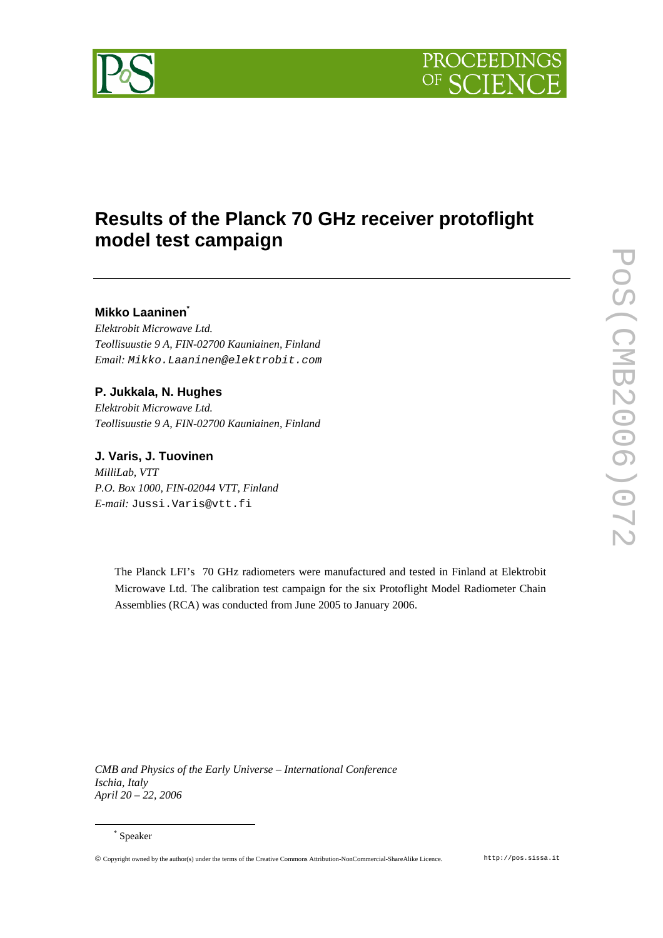



# **Results of the Planck 70 GHz receiver protoflight model test campaign**

# **Mikko Laaninen\***

*Elektrobit Microwave Ltd. Teollisuustie 9 A, FIN-02700 Kauniainen, Finland Email:* Mikko.Laaninen@elektrobit.com

## **P. Jukkala, N. Hughes**

*Elektrobit Microwave Ltd. Teollisuustie 9 A, FIN-02700 Kauniainen, Finland* 

## **J. Varis, J. Tuovinen**

*MilliLab, VTT P.O. Box 1000, FIN-02044 VTT, Finland E-mail:* Jussi.Varis@vtt.fi

> The Planck LFI's 70 GHz radiometers were manufactured and tested in Finland at Elektrobit Microwave Ltd. The calibration test campaign for the six Protoflight Model Radiometer Chain Assemblies (RCA) was conducted from June 2005 to January 2006.

*CMB and Physics of the Early Universe – International Conference Ischia, Italy April 20 – 22, 2006*

 $\overline{a}$ 

Copyright owned by the author(s) under the terms of the Creative Commons Attribution-NonCommercial-ShareAlike Licence. http://pos.sissa.it

<sup>\*</sup> Speaker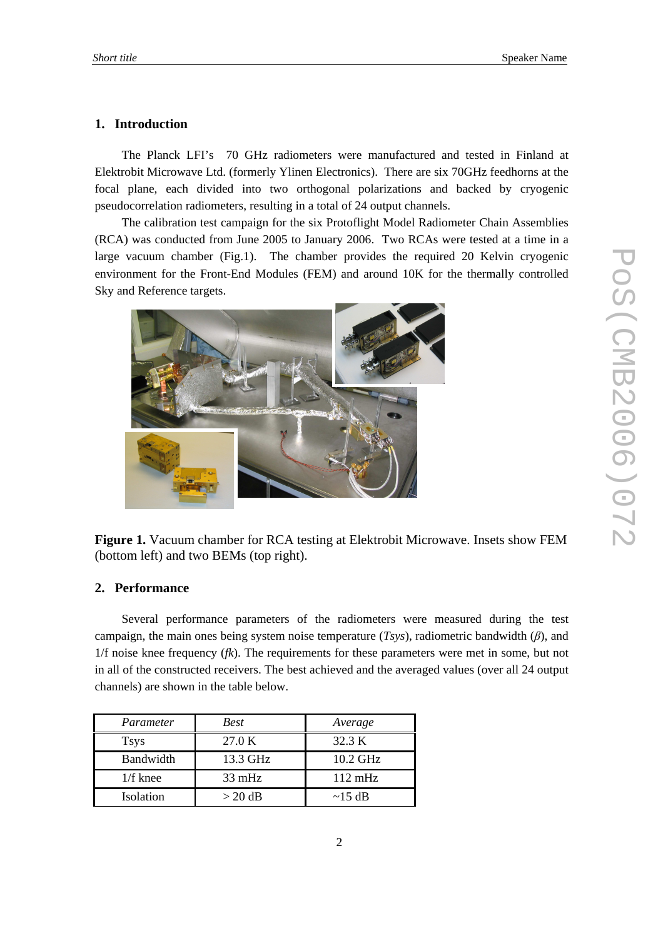#### **1. Introduction**

The Planck LFI's 70 GHz radiometers were manufactured and tested in Finland at Elektrobit Microwave Ltd. (formerly Ylinen Electronics). There are six 70GHz feedhorns at the focal plane, each divided into two orthogonal polarizations and backed by cryogenic pseudocorrelation radiometers, resulting in a total of 24 output channels.

The calibration test campaign for the six Protoflight Model Radiometer Chain Assemblies (RCA) was conducted from June 2005 to January 2006. Two RCAs were tested at a time in a large vacuum chamber (Fig.1). The chamber provides the required 20 Kelvin cryogenic environment for the Front-End Modules (FEM) and around 10K for the thermally controlled Sky and Reference targets.



**Figure 1.** Vacuum chamber for RCA testing at Elektrobit Microwave. Insets show FEM (bottom left) and two BEMs (top right).

#### **2. Performance**

Several performance parameters of the radiometers were measured during the test campaign, the main ones being system noise temperature  $(Tsys)$ , radiometric bandwidth  $(\beta)$ , and 1/f noise knee frequency (*fk*). The requirements for these parameters were met in some, but not in all of the constructed receivers. The best achieved and the averaged values (over all 24 output channels) are shown in the table below.

| Parameter   | <b>Best</b>      | Average           |
|-------------|------------------|-------------------|
| <b>Tsys</b> | 27.0 K           | 32.3 K            |
| Bandwidth   | 13.3 GHz         | 10.2 GHz          |
| $1/f$ knee  | $33 \text{ mHz}$ | $112 \text{ mHz}$ |
| Isolation   | $>$ 20 dB        | $\sim$ 15 dB      |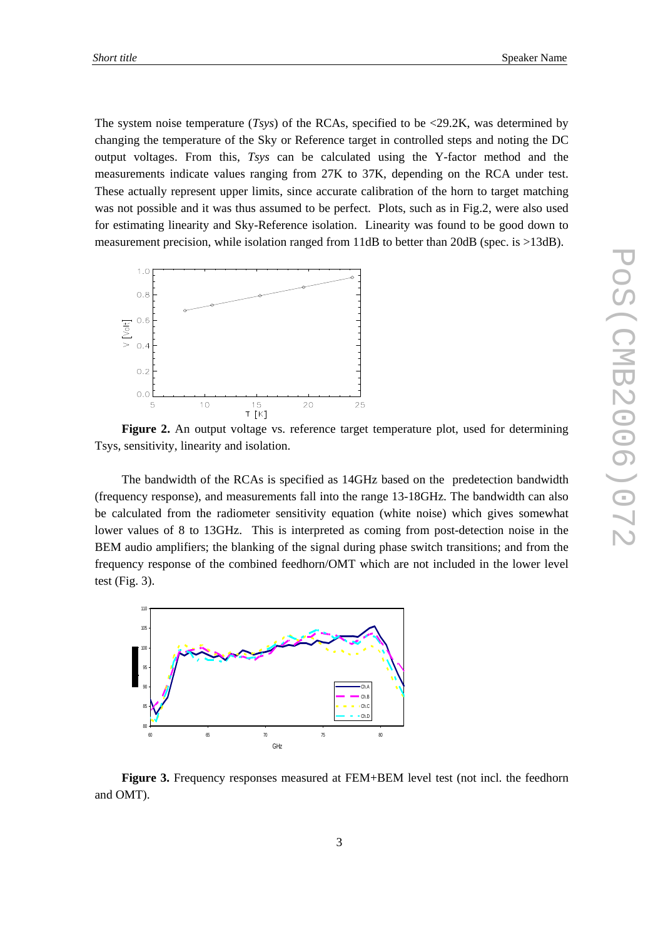The system noise temperature (*Tsys*) of the RCAs, specified to be <29.2K, was determined by changing the temperature of the Sky or Reference target in controlled steps and noting the DC output voltages. From this, *Tsys* can be calculated using the Y-factor method and the measurements indicate values ranging from 27K to 37K, depending on the RCA under test. These actually represent upper limits, since accurate calibration of the horn to target matching was not possible and it was thus assumed to be perfect. Plots, such as in Fig.2, were also used for estimating linearity and Sky-Reference isolation. Linearity was found to be good down to measurement precision, while isolation ranged from 11dB to better than 20dB (spec. is >13dB).



**Figure 2.** An output voltage vs. reference target temperature plot, used for determining Tsys, sensitivity, linearity and isolation.

The bandwidth of the RCAs is specified as 14GHz based on the predetection bandwidth (frequency response), and measurements fall into the range 13-18GHz. The bandwidth can also be calculated from the radiometer sensitivity equation (white noise) which gives somewhat lower values of 8 to 13GHz. This is interpreted as coming from post-detection noise in the BEM audio amplifiers; the blanking of the signal during phase switch transitions; and from the frequency response of the combined feedhorn/OMT which are not included in the lower level test (Fig. 3).



**Figure 3.** Frequency responses measured at FEM+BEM level test (not incl. the feedhorn and OMT).